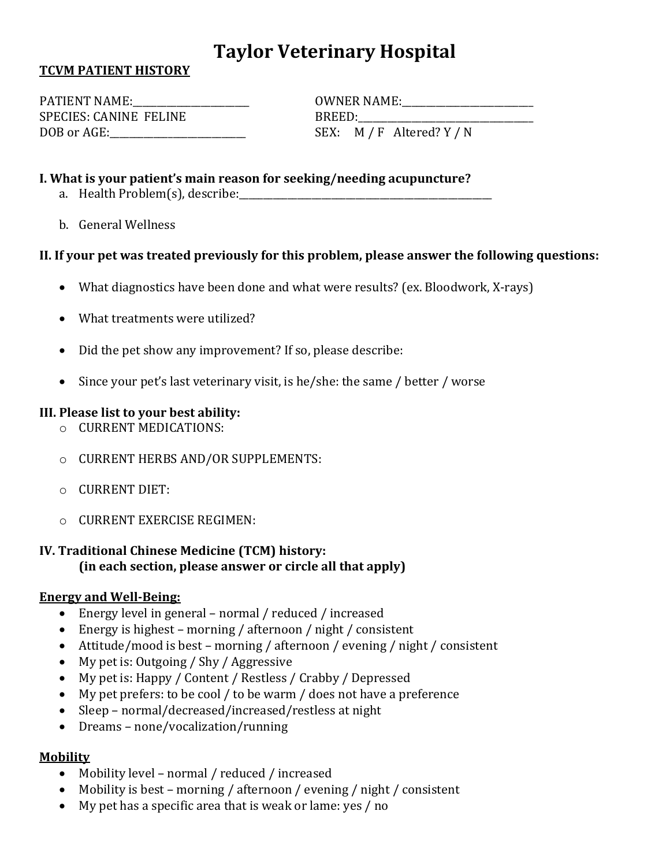# **Taylor Veterinary Hospital**

### **TCVM PATIENT HISTORY**

SPECIES: CANINE FELINE BREED: DOB or AGE:\_\_\_\_\_\_\_\_\_\_\_\_\_\_\_\_\_\_\_\_\_\_\_\_\_\_\_\_ SEX: M / F Altered? Y / N

PATIENT NAME:\_\_\_\_\_\_\_\_\_\_\_\_\_\_\_\_\_\_\_\_\_\_\_\_ OWNER NAME:\_\_\_\_\_\_\_\_\_\_\_\_\_\_\_\_\_\_\_\_\_\_\_\_\_\_\_

### **I. What is your patient's main reason for seeking/needing acupuncture?**

- a. Health Problem(s), describe:
- b. General Wellness

### **II. If your pet was treated previously for this problem, please answer the following questions:**

- What diagnostics have been done and what were results? (ex. Bloodwork, X-rays)
- What treatments were utilized?
- Did the pet show any improvement? If so, please describe:
- Since your pet's last veterinary visit, is he/she: the same / better / worse

### **III. Please list to your best ability:**

- o CURRENT MEDICATIONS:
- o CURRENT HERBS AND/OR SUPPLEMENTS:
- o CURRENT DIET:
- $\circ$  CURRENT EXERCISE REGIMEN:

# **IV. Traditional Chinese Medicine (TCM) history: (in each section, please answer or circle all that apply)**

#### **Energy and Well-Being:**

- Energy level in general normal / reduced / increased
- Energy is highest morning / afternoon / night / consistent
- Attitude/mood is best morning / afternoon / evening / night / consistent
- My pet is: Outgoing / Shy / Aggressive
- My pet is: Happy / Content / Restless / Crabby / Depressed
- My pet prefers: to be cool / to be warm / does not have a preference
- Sleep normal/decreased/increased/restless at night
- Dreams none/vocalization/running

# **Mobility**

- Mobility level normal / reduced / increased
- Mobility is best morning / afternoon / evening / night / consistent
- My pet has a specific area that is weak or lame: yes / no